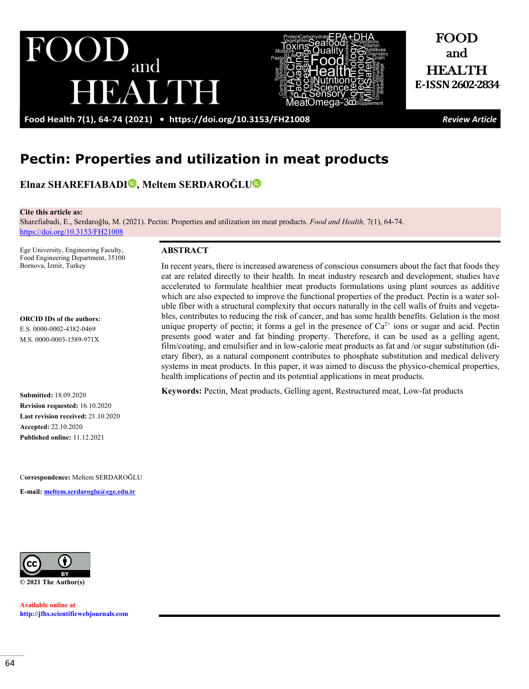

FOOD and HEALTH **E-ISSN2602-2834**

**Food Health 7(1), 64-74 (2021) •<https://doi.org/10.3153/FH21008>***Review Article*

EALINH

# **Pectin: Properties and utilization in meat products**

**Elnaz SHAREFIABAD[I](http://orcid.org/0000-0002-4382-0469) , Meltem SERDAROĞLU**

and

**Cite this article as:** 

Sharefiabadi, E., Serdaroğlu, M. (2021). Pectin: Properties and utilization im meat products. *Food and Health,* 7(1), 64-74. <https://doi.org/10.3153/FH21008>

Ege University, Engineering Faculty, Food Engineering Department, 35100 Bornova, İzmir, Turkey

UI

**ORCID IDs of the authors:**

E.S. 0000-0002-4382-0469 M.S. 0000-0003-1589-971X

**Submitted:** 18.09.2020 **Revision requested:** 16.10.2020 **Last revision received:** 21.10.2020 **Accepted:** 22.10.2020 **Published online:** 11.12.2021

C**orrespondence:** Meltem SERDAROĞLU

**E-mail: [meltem.serdaroglu@ege.edu.tr](mailto:meltem.serdaroglu@ege.edu.tr)**



**Available online at [http://jfhs.scientificwebjournals.com](http://jfhs.scientificwebjournals.com/)**

#### **ABSTRACT**

In recent years, there is increased awareness of conscious consumers about the fact that foods they eat are related directly to their health. In meat industry research and development, studies have accelerated to formulate healthier meat products formulations using plant sources as additive which are also expected to improve the functional properties of the product. Pectin is a water soluble fiber with a structural complexity that occurs naturally in the cell walls of fruits and vegetables, contributes to reducing the risk of cancer, and has some health benefits. Gelation is the most unique property of pectin; it forms a gel in the presence of  $Ca^{2+}$  ions or sugar and acid. Pectin presents good water and fat binding property. Therefore, it can be used as a gelling agent, film/coating, and emulsifier and in low-calorie meat products as fat and /or sugar substitution (dietary fiber), as a natural component contributes to phosphate substitution and medical delivery systems in meat products. In this paper, it was aimed to discuss the physico-chemical properties, health implications of pectin and its potential applications in meat products.

**Keywords:** Pectin, Meat products, Gelling agent, Restructured meat, Low-fat products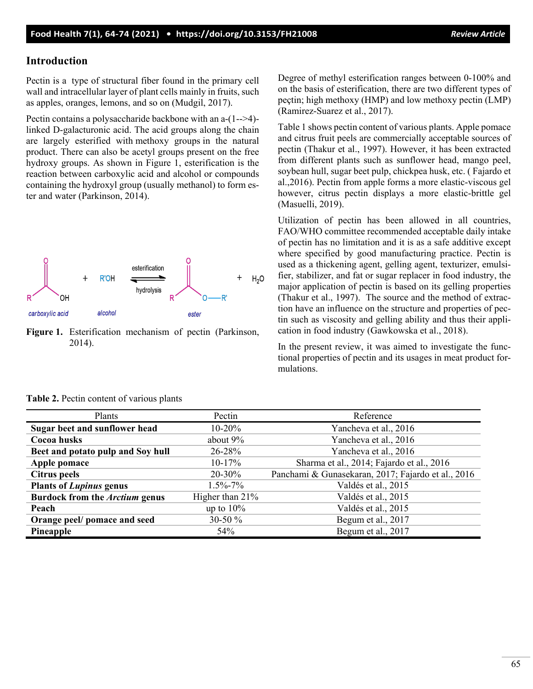# **Introduction**

Pectin is a type of structural fiber found in the primary cell wall and intracellular layer of plant cells mainly in fruits, such as apples, oranges, lemons, and so on (Mudgil, 2017).

Pectin contains a polysaccharide backbone with an a-(1-->4) linked D-galacturonic acid. The acid groups along the chain are largely esterified with methoxy groups in the natural product. There can also be acetyl groups present on the free hydroxy groups. As shown in Figure 1, esterification is the reaction between carboxylic acid and alcohol or compounds containing the hydroxyl group (usually methanol) to form ester and water (Parkinson, 2014).



**Figure 1.** Esterification mechanism of pectin (Parkinson, 2014).

Degree of methyl esterification ranges between 0-100% and on the basis of esterification, there are two different types of peçtin; high methoxy (HMP) and low methoxy pectin (LMP) (Ramirez-Suarez et al., 2017).

Table 1 shows pectin content of various plants. Apple pomace and citrus fruit peels are commercially acceptable sources of pectin (Thakur et al., 1997). However, it has been extracted from different plants such as sunflower head, mango peel, soybean hull, sugar beet pulp, chickpea husk, etc. ( Fajardo et al.,2016). Pectin from apple forms a more elastic-viscous gel however, citrus pectin displays a more elastic-brittle gel (Masuelli, 2019).

Utilization of pectin has been allowed in all countries, FAO/WHO committee recommended acceptable daily intake of pectin has no limitation and it is as a safe additive except where specified by good manufacturing practice. Pectin is used as a thickening agent, gelling agent, texturizer, emulsifier, stabilizer, and fat or sugar replacer in food industry, the major application of pectin is based on its gelling properties (Thakur et al., 1997). The source and the method of extraction have an influence on the structure and properties of pectin such as viscosity and gelling ability and thus their application in food industry (Gawkowska et al., 2018).

In the present review, it was aimed to investigate the functional properties of pectin and its usages in meat product formulations.

| Plants                                | Pectin             | Reference                                          |  |
|---------------------------------------|--------------------|----------------------------------------------------|--|
| Sugar beet and sunflower head         | $10-20%$           | Yancheva et al., 2016                              |  |
| Cocoa husks                           | about 9%           | Yancheva et al., 2016                              |  |
| Beet and potato pulp and Soy hull     | 26-28%             | Yancheva et al., 2016                              |  |
| Apple pomace                          | $10-17\%$          | Sharma et al., 2014; Fajardo et al., 2016          |  |
| Citrus peels                          | 20-30%             | Panchami & Gunasekaran, 2017; Fajardo et al., 2016 |  |
| <b>Plants of Lupinus genus</b>        | $1.5\% - 7\%$      | Valdés et al., 2015                                |  |
| Burdock from the <i>Arctium</i> genus | Higher than $21\%$ | Valdés et al., 2015                                |  |
| Peach                                 | up to $10\%$       | Valdés et al., 2015                                |  |
| Orange peel/ pomace and seed          | 30-50 $%$          | Begum et al., 2017                                 |  |
| Pineapple                             | 54%                | Begum et al., 2017                                 |  |

| Table 2. Pectin content of various plants |  |  |  |  |  |
|-------------------------------------------|--|--|--|--|--|
|-------------------------------------------|--|--|--|--|--|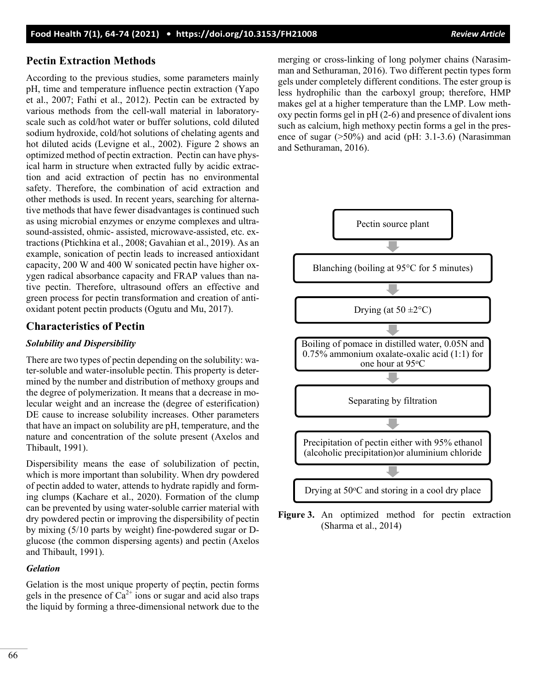# **Pectin Extraction Methods**

According to the previous studies, some parameters mainly pH, time and temperature influence pectin extraction (Yapo et al., 2007; Fathi et al., 2012). Pectin can be extracted by various methods from the cell-wall material in laboratoryscale such as cold/hot water or buffer solutions, cold diluted sodium hydroxide, cold/hot solutions of chelating agents and hot diluted acids (Levigne et al., 2002). Figure 2 shows an optimized method of pectin extraction. Pectin can have physical harm in structure when extracted fully by acidic extraction and acid extraction of pectin has no environmental safety. Therefore, the combination of acid extraction and other methods is used. In recent years, searching for alternative methods that have fewer disadvantages is continued such as using microbial enzymes or enzyme complexes and ultrasound-assisted, ohmic- assisted, microwave-assisted, etc. extractions (Ptichkina et al., 2008; Gavahian et al., 2019). As an example, sonication of pectin leads to increased antioxidant capacity, 200 W and 400 W sonicated pectin have higher oxygen radical absorbance capacity and FRAP values than native pectin. Therefore, ultrasound offers an effective and green process for pectin transformation and creation of antioxidant potent pectin products (Ogutu and Mu, 2017).

# **Characteristics of Pectin**

# *Solubility and Dispersibility*

There are two types of pectin depending on the solubility: water-soluble and water-insoluble pectin. This property is determined by the number and distribution of methoxy groups and the degree of polymerization. It means that a decrease in molecular weight and an increase the (degree of esterification) DE cause to increase solubility increases. Other parameters that have an impact on solubility are pH, temperature, and the nature and concentration of the solute present (Axelos and Thibault, 1991).

Dispersibility means the ease of solubilization of pectin, which is more important than solubility. When dry powdered of pectin added to water, attends to hydrate rapidly and forming clumps (Kachare et al., 2020). Formation of the clump can be prevented by using water-soluble carrier material with dry powdered pectin or improving the dispersibility of pectin by mixing (5/10 parts by weight) fine-powdered sugar or Dglucose (the common dispersing agents) and pectin (Axelos and Thibault, 1991).

# *Gelation*

Gelation is the most unique property of peçtin, pectin forms gels in the presence of  $Ca^{2+}$  ions or sugar and acid also traps the liquid by forming a three-dimensional network due to the

merging or cross-linking of long polymer chains (Narasimman and Sethuraman, 2016). Two different pectin types form gels under completely different conditions. The ester group is less hydrophilic than the carboxyl group; therefore, HMP makes gel at a higher temperature than the LMP. Low methoxy pectin forms gel in pH (2-6) and presence of divalent ions such as calcium, high methoxy pectin forms a gel in the presence of sugar  $(50\%)$  and acid (pH: 3.1-3.6) (Narasimman and Sethuraman, 2016).



**Figure 3.** An optimized method for pectin extraction (Sharma et al., 2014)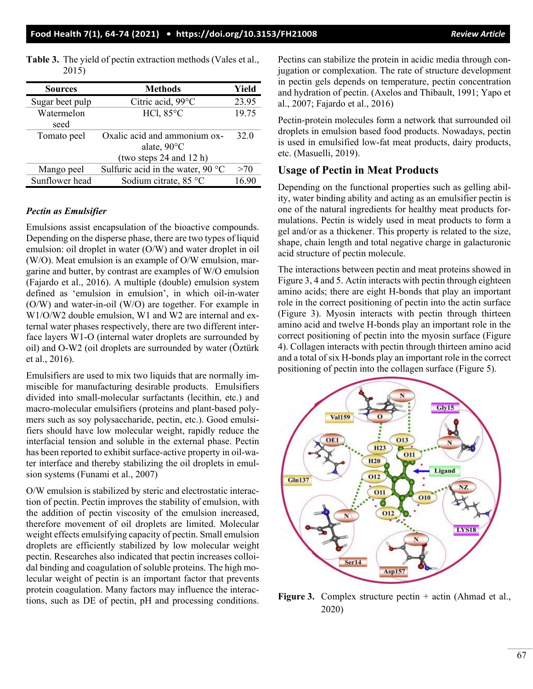| <b>Sources</b>  | <b>Methods</b>                             | Yield |
|-----------------|--------------------------------------------|-------|
| Sugar beet pulp | Citric acid, 99°C                          | 23.95 |
| Watermelon      | HCl, $85^{\circ}$ C                        | 19.75 |
| seed            |                                            |       |
| Tomato peel     | Oxalic acid and ammonium ox-               | 32.0  |
|                 | alate, $90^{\circ}$ C                      |       |
|                 | (two steps $24$ and $12$ h)                |       |
| Mango peel      | Sulfuric acid in the water, 90 $\degree$ C | >70   |
| Sunflower head  | Sodium citrate, 85 °C                      | 16.90 |

**Table 3.** The yield of pectin extraction methods (Vales et al., 2015)

#### *Pectin as Emulsifier*

Emulsions assist encapsulation of the bioactive compounds. Depending on the disperse phase, there are two types of liquid emulsion: oil droplet in water (O/W) and water droplet in oil (W/O). Meat emulsion is an example of O/W emulsion, margarine and butter, by contrast are examples of W/O emulsion (Fajardo et al., 2016). A multiple (double) emulsion system defined as 'emulsion in emulsion', in which oil-in-water (O/W) and water-in-oil (W/O) are together. For example in W1/O/W2 double emulsion, W1 and W2 are internal and external water phases respectively, there are two different interface layers W1-O (internal water droplets are surrounded by oil) and O-W2 (oil droplets are surrounded by water (Öztürk et al., 2016).

Emulsifiers are used to mix two liquids that are normally immiscible for manufacturing desirable products. Emulsifiers divided into small-molecular surfactants (lecithin, etc.) and macro-molecular emulsifiers (proteins and plant-based polymers such as soy polysaccharide, pectin, etc.). Good emulsifiers should have low molecular weight, rapidly reduce the interfacial tension and soluble in the external phase. Pectin has been reported to exhibit surface-active property in oil-water interface and thereby stabilizing the oil droplets in emulsion systems (Funami et al., 2007)

O/W emulsion is stabilized by steric and electrostatic interaction of pectin. Pectin improves the stability of emulsion, with the addition of pectin viscosity of the emulsion increased, therefore movement of oil droplets are limited. Molecular weight effects emulsifying capacity of pectin. Small emulsion droplets are efficiently stabilized by low molecular weight pectin. Researches also indicated that pectin increases colloidal binding and coagulation of soluble proteins. The high molecular weight of pectin is an important factor that prevents protein coagulation. Many factors may influence the interactions, such as DE of pectin, pH and processing conditions.

Pectins can stabilize the protein in acidic media through conjugation or complexation. The rate of structure development in pectin gels depends on temperature, pectin concentration and hydration of pectin. (Axelos and Thibault, 1991; Yapo et al., 2007; Fajardo et al., 2016)

Pectin-protein molecules form a network that surrounded oil droplets in emulsion based food products. Nowadays, pectin is used in emulsified low-fat meat products, dairy products, etc. (Masuelli, 2019).

# **Usage of Pectin in Meat Products**

Depending on the functional properties such as gelling ability, water binding ability and acting as an emulsifier pectin is one of the natural ingredients for healthy meat products formulations. Pectin is widely used in meat products to form a gel and/or as a thickener. This property is related to the size, shape, chain length and total negative charge in galacturonic acid structure of pectin molecule.

The interactions between pectin and meat proteins showed in Figure 3, 4 and 5. Actin interacts with pectin through eighteen amino acids; there are eight H-bonds that play an important role in the correct positioning of pectin into the actin surface (Figure 3). Myosin interacts with pectin through thirteen amino acid and twelve H-bonds play an important role in the correct positioning of pectin into the myosin surface (Figure 4). Collagen interacts with pectin through thirteen amino acid and a total of six H-bonds play an important role in the correct positioning of pectin into the collagen surface (Figure 5).



**Figure 3.** Complex structure pectin + actin (Ahmad et al., 2020)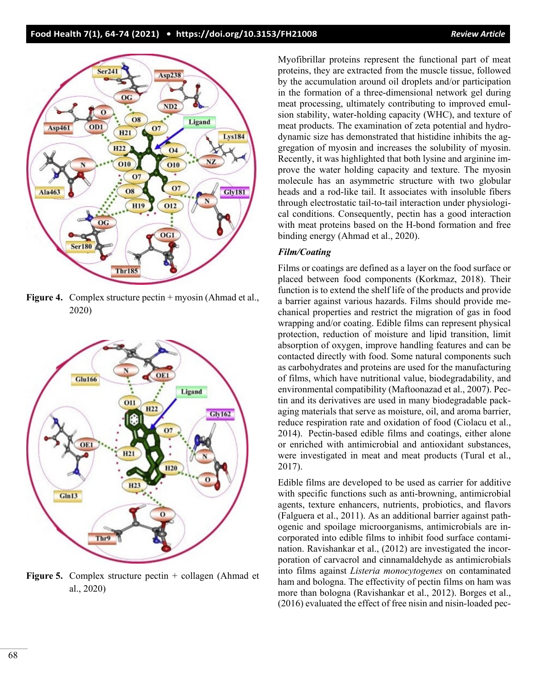

**Figure 4.** Complex structure pectin + myosin (Ahmad et al., 2020)



**Figure 5.** Complex structure pectin + collagen (Ahmad et al., 2020)

Myofibrillar proteins represent the functional part of meat proteins, they are extracted from the muscle tissue, followed by the accumulation around oil droplets and/or participation in the formation of a three-dimensional network gel during meat processing, ultimately contributing to improved emulsion stability, water-holding capacity (WHC), and texture of meat products. The examination of zeta potential and hydrodynamic size has demonstrated that histidine inhibits the aggregation of myosin and increases the solubility of myosin. Recently, it was highlighted that both lysine and arginine improve the water holding capacity and texture. The myosin molecule has an asymmetric structure with two globular heads and a rod-like tail. It associates with insoluble fibers through electrostatic tail-to-tail interaction under physiological conditions. Consequently, pectin has a good interaction with meat proteins based on the H-bond formation and free binding energy (Ahmad et al., 2020).

#### *Film/Coating*

Films or coatings are defined as a layer on the food surface or placed between food components (Korkmaz, 2018). Their function is to extend the shelf life of the products and provide a barrier against various hazards. Films should provide mechanical properties and restrict the migration of gas in food wrapping and/or coating. Edible films can represent physical protection, reduction of moisture and lipid transition, limit absorption of oxygen, improve handling features and can be contacted directly with food. Some natural components such as carbohydrates and proteins are used for the manufacturing of films, which have nutritional value, biodegradability, and environmental compatibility (Maftoonazad et al., 2007). Pectin and its derivatives are used in many biodegradable packaging materials that serve as moisture, oil, and aroma barrier, reduce respiration rate and oxidation of food (Ciolacu et al., 2014). Pectin-based edible films and coatings, either alone or enriched with antimicrobial and antioxidant substances, were investigated in meat and meat products (Tural et al., 2017).

Edible films are developed to be used as carrier for additive with specific functions such as anti-browning, antimicrobial agents, texture enhancers, nutrients, probiotics, and flavors (Falguera et al., 2011). As an additional barrier against pathogenic and spoilage microorganisms, antimicrobials are incorporated into edible films to inhibit food surface contamination. Ravishankar et al., (2012) are investigated the incorporation of carvacrol and cinnamaldehyde as antimicrobials into films against *Listeria monocytogenes* on contaminated ham and bologna. The effectivity of pectin films on ham was more than bologna (Ravishankar et al., 2012). Borges et al., (2016) evaluated the effect of free nisin and nisin-loaded pec-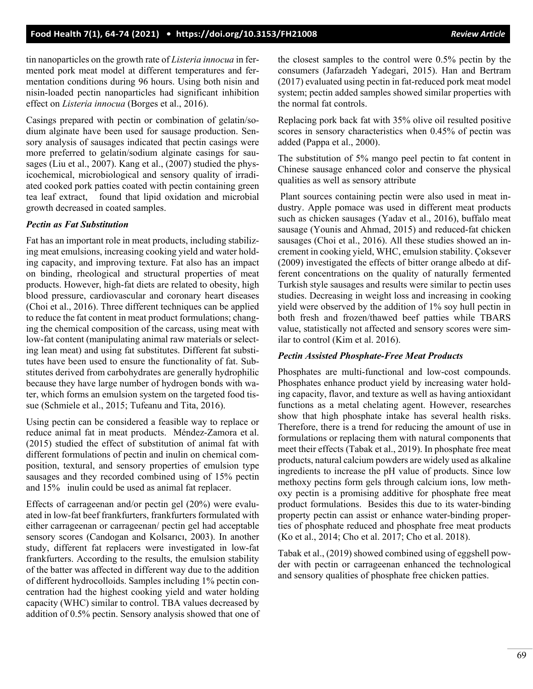tin nanoparticles on the growth rate of *Listeria innocua* in fermented pork meat model at different temperatures and fermentation conditions during 96 hours. Using both nisin and nisin-loaded pectin nanoparticles had significant inhibition effect on *Listeria innocua* (Borges et al., 2016).

Casings prepared with pectin or combination of gelatin/sodium alginate have been used for sausage production. Sensory analysis of sausages indicated that pectin casings were more preferred to gelatin/sodium alginate casings for sausages (Liu et al., 2007). Kang et al., (2007) studied the physicochemical, microbiological and sensory quality of irradiated cooked pork patties coated with pectin containing green tea leaf extract, found that lipid oxidation and microbial growth decreased in coated samples.

# *Pectin as Fat Substitution*

Fat has an important role in meat products, including stabilizing meat emulsions, increasing cooking yield and water holding capacity, and improving texture. Fat also has an impact on binding, rheological and structural properties of meat products. However, high-fat diets are related to obesity, high blood pressure, cardiovascular and coronary heart diseases (Choi et al., 2016). Three different techniques can be applied to reduce the fat content in meat product formulations; changing the chemical composition of the carcass, using meat with low-fat content (manipulating animal raw materials or selecting lean meat) and using fat substitutes. Different fat substitutes have been used to ensure the functionality of fat. Substitutes derived from carbohydrates are generally hydrophilic because they have large number of hydrogen bonds with water, which forms an emulsion system on the targeted food tissue (Schmiele et al., 2015; Tufeanu and Tita, 2016).

Using pectin can be considered a feasible way to replace or reduce animal fat in meat products. Méndez-Zamora et al. (2015) studied the effect of substitution of animal fat with different formulations of pectin and inulin on chemical composition, textural, and sensory properties of emulsion type sausages and they recorded combined using of 15% pectin and 15% inulin could be used as animal fat replacer.

Effects of carrageenan and/or pectin gel (20%) were evaluated in low-fat beef frankfurters, frankfurters formulated with either carrageenan or carrageenan/ pectin gel had acceptable sensory scores (Candogan and Kolsarıcı, 2003). In another study, different fat replacers were investigated in low-fat frankfurters. According to the results, the emulsion stability of the batter was affected in different way due to the addition of different hydrocolloids. Samples including 1% pectin concentration had the highest cooking yield and water holding capacity (WHC) similar to control. TBA values decreased by addition of 0.5% pectin. Sensory analysis showed that one of the closest samples to the control were 0.5% pectin by the consumers (Jafarzadeh Yadegari, 2015). Han and Bertram (2017) evaluated using pectin in fat-reduced pork meat model system; pectin added samples showed similar properties with the normal fat controls.

Replacing pork back fat with 35% olive oil resulted positive scores in sensory characteristics when 0.45% of pectin was added (Pappa et al., 2000).

The substitution of 5% mango peel pectin to fat content in Chinese sausage enhanced color and conserve the physical qualities as well as sensory attribute

Plant sources containing pectin were also used in meat industry. Apple pomace was used in different meat products such as chicken sausages (Yadav et al., 2016), buffalo meat sausage (Younis and Ahmad, 2015) and reduced-fat chicken sausages (Choi et al., 2016). All these studies showed an increment in cooking yield, WHC, emulsion stability. Çoksever (2009) investigated the effects of bitter orange albedo at different concentrations on the quality of naturally fermented Turkish style sausages and results were similar to pectin uses studies. Decreasing in weight loss and increasing in cooking yield were observed by the addition of 1% soy hull pectin in both fresh and frozen/thawed beef patties while TBARS value, statistically not affected and sensory scores were similar to control (Kim et al. 2016).

#### *Pectin Assisted Phosphate-Free Meat Products*

Phosphates are multi-functional and low-cost compounds. Phosphates enhance product yield by increasing water holding capacity, flavor, and texture as well as having antioxidant functions as a metal chelating agent. However, researches show that high phosphate intake has several health risks. Therefore, there is a trend for reducing the amount of use in formulations or replacing them with natural components that meet their effects (Tabak et al., 2019). In phosphate free meat products, natural calcium powders are widely used as alkaline ingredients to increase the pH value of products. Since low methoxy pectins form gels through calcium ions, low methoxy pectin is a promising additive for phosphate free meat product formulations. Besides this due to its water-binding property pectin can assist or enhance water-binding properties of phosphate reduced and phosphate free meat products (Ko et al., 2014; Cho et al. 2017; Cho et al. 2018).

Tabak et al., (2019) showed combined using of eggshell powder with pectin or carrageenan enhanced the technological and sensory qualities of phosphate free chicken patties.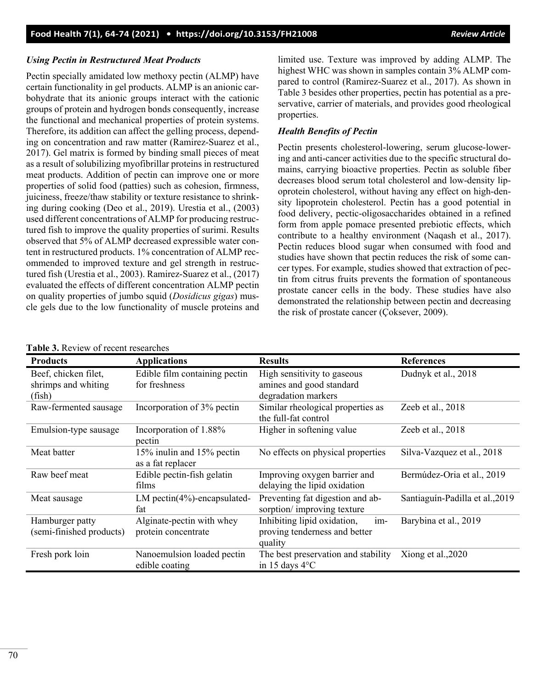# *Using Pectin in Restructured Meat Products*

Pectin specially amidated low methoxy pectin (ALMP) have certain functionality in gel products. ALMP is an anionic carbohydrate that its anionic groups interact with the cationic groups of protein and hydrogen bonds consequently, increase the functional and mechanical properties of protein systems. Therefore, its addition can affect the gelling process, depending on concentration and raw matter (Ramirez-Suarez et al., 2017). Gel matrix is formed by binding small pieces of meat as a result of solubilizing myofibrillar proteins in restructured meat products. Addition of pectin can improve one or more properties of solid food (patties) such as cohesion, firmness, juiciness, freeze/thaw stability or texture resistance to shrinking during cooking (Deo et al., 2019). Urestia et al., (2003) used different concentrations of ALMP for producing restructured fish to improve the quality properties of surimi. Results observed that 5% of ALMP decreased expressible water content in restructured products. 1% concentration of ALMP recommended to improved texture and gel strength in restructured fish (Urestia et al., 2003). Ramirez-Suarez et al., (2017) evaluated the effects of different concentration ALMP pectin on quality properties of jumbo squid (*Dosidicus gigas*) muscle gels due to the low functionality of muscle proteins and limited use. Texture was improved by adding ALMP. The highest WHC was shown in samples contain 3% ALMP compared to control (Ramirez-Suarez et al., 2017). As shown in Table 3 besides other properties, pectin has potential as a preservative, carrier of materials, and provides good rheological properties.

# *Health Benefits of Pectin*

Pectin presents cholesterol-lowering, serum glucose-lowering and anti-cancer activities due to the specific structural domains, carrying bioactive properties. Pectin as soluble fiber decreases blood serum total cholesterol and low-density lipoprotein cholesterol, without having any effect on high-density lipoprotein cholesterol. Pectin has a good potential in food delivery, pectic-oligosaccharides obtained in a refined form from apple pomace presented prebiotic effects, which contribute to a healthy environment (Naqash et al., 2017). Pectin reduces blood sugar when consumed with food and studies have shown that pectin reduces the risk of some cancer types. For example, studies showed that extraction of pectin from citrus fruits prevents the formation of spontaneous prostate cancer cells in the body. These studies have also demonstrated the relationship between pectin and decreasing the risk of prostate cancer (Çoksever, 2009).

| <b>Products</b>                                       | <b>Applications</b>                              | <b>Results</b>                                                                   | <b>References</b>               |
|-------------------------------------------------------|--------------------------------------------------|----------------------------------------------------------------------------------|---------------------------------|
| Beef, chicken filet,<br>shrimps and whiting<br>(fish) | Edible film containing pectin<br>for freshness   | High sensitivity to gaseous<br>amines and good standard<br>degradation markers   | Dudnyk et al., 2018             |
| Raw-fermented sausage                                 | Incorporation of 3% pectin                       | Similar rheological properties as<br>the full-fat control                        | Zeeb et al., 2018               |
| Emulsion-type sausage                                 | Incorporation of 1.88%<br>pectin                 | Higher in softening value                                                        | Zeeb et al., 2018               |
| Meat batter                                           | 15% inulin and 15% pectin<br>as a fat replacer   | No effects on physical properties                                                | Silva-Vazquez et al., 2018      |
| Raw beef meat                                         | Edible pectin-fish gelatin<br>films              | Improving oxygen barrier and<br>delaying the lipid oxidation                     | Bermúdez-Oria et al., 2019      |
| Meat sausage                                          | LM pectin( $4\%$ )-encapsulated-<br>fat          | Preventing fat digestion and ab-<br>sorption/improving texture                   | Santiaguín-Padilla et al., 2019 |
| Hamburger patty<br>(semi-finished products)           | Alginate-pectin with whey<br>protein concentrate | Inhibiting lipid oxidation,<br>$im-$<br>proving tenderness and better<br>quality | Barybina et al., 2019           |
| Fresh pork loin                                       | Nanoemulsion loaded pectin<br>edible coating     | The best preservation and stability<br>in 15 days 4°C                            | Xiong et al., 2020              |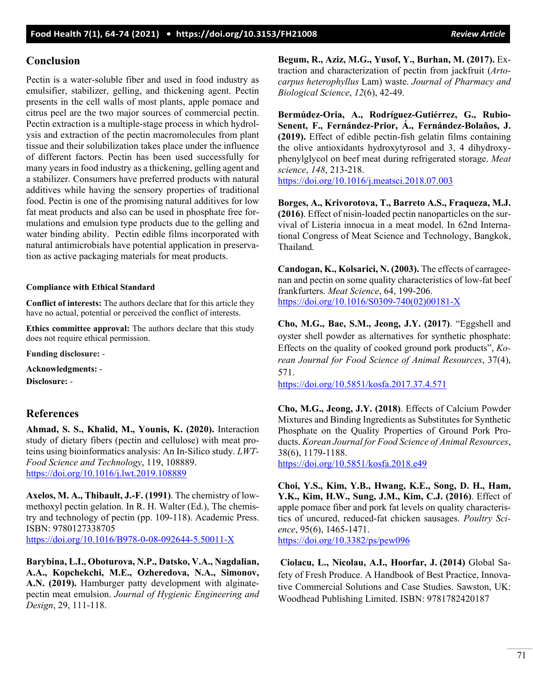# **Conclusion**

Pectin is a water-soluble fiber and used in food industry as emulsifier, stabilizer, gelling, and thickening agent. Pectin presents in the cell walls of most plants, apple pomace and citrus peel are the two major sources of commercial pectin. Pectin extraction is a multiple-stage process in which hydrolysis and extraction of the pectin macromolecules from plant tissue and their solubilization takes place under the influence of different factors. Pectin has been used successfully for many years in food industry as a thickening, gelling agent and a stabilizer. Consumers have preferred products with natural additives while having the sensory properties of traditional food. Pectin is one of the promising natural additives for low fat meat products and also can be used in phosphate free formulations and emulsion type products due to the gelling and water binding ability. Pectin edible films incorporated with natural antimicrobials have potential application in preservation as active packaging materials for meat products.

# **Compliance with Ethical Standard**

**Conflict of interests:** The authors declare that for this article they have no actual, potential or perceived the conflict of interests.

**Ethics committee approval:** The authors declare that this study does not require ethical permission.

**Funding disclosure:** -

**Acknowledgments:** -

**Disclosure:** -

# **References**

**Ahmad, S. S., Khalid, M., Younis, K. (2020).** Interaction study of dietary fibers (pectin and cellulose) with meat proteins using bioinformatics analysis: An In-Silico study. *LWT-Food Science and Technology*, 119, 108889. <https://doi.org/10.1016/j.lwt.2019.108889>

**Axelos, M. A., Thibault, J.-F. (1991)**. The chemistry of lowmethoxyl pectin gelation. In R. H. Walter (Ed.), The chemistry and technology of pectin (pp. 109-118). Academic Press. ISBN: 9780127338705 <https://doi.org/10.1016/B978-0-08-092644-5.50011-X>

**Barybina, L.I., Oboturova, N.P., Datsko, V.A., Nagdalian, A.A., Kopchekchi, M.E., Ozheredova, N.A., Simonov, A.N. (2019).** Hamburger patty development with alginatepectin meat emulsion. *Journal of Hygienic Engineering and Design*, 29, 111-118.

**Begum, R., Aziz, M.G., Yusof, Y., Burhan, M. (2017).** Extraction and characterization of pectin from jackfruit (*Artocarpus heterophyllus* Lam) waste. *Journal of Pharmacy and Biological Science*, *12*(6), 42-49.

**Bermúdez-Oria, A., Rodríguez-Gutiérrez, G., Rubio-Senent, F., Fernández-Prior, Á., Fernández-Bolaños, J. (2019).** Effect of edible pectin-fish gelatin films containing the olive antioxidants hydroxytyrosol and 3, 4 dihydroxyphenylglycol on beef meat during refrigerated storage. *Meat science*, *148*, 213-218.

<https://doi.org/10.1016/j.meatsci.2018.07.003>

**Borges, A., Krivorotova, T., Barreto A.S., Fraqueza, M.J. (2016)**. Effect of nisin-loaded pectin nanoparticles on the survival of Listeria innocua in a meat model. In 62nd International Congress of Meat Science and Technology, Bangkok, Thailand.

**Candogan, K., Kolsarici, N. (2003).** The effects of carrageenan and pectin on some quality characteristics of low-fat beef frankfurters. *Meat Science*, 64, 199-206. [https://doi.org/10.1016/S0309-740\(02\)00181-X](https://doi.org/10.1016/S0309-740(02)00181-X) 

**Cho, M.G., Bae, S.M., Jeong, J.Y. (2017)**. "Eggshell and oyster shell powder as alternatives for synthetic phosphate: Effects on the quality of cooked ground pork products", *Korean Journal for Food Science of Animal Resources*, 37(4), 571.

<https://doi.org/10.5851/kosfa.2017.37.4.571>

**Cho, M.G., Jeong, J.Y. (2018)**. Effects of Calcium Powder Mixtures and Binding Ingredients as Substitutes for Synthetic Phosphate on the Quality Properties of Ground Pork Products. *Korean Journal for Food Science of Animal Resources*, 38(6), 1179-1188.

<https://doi.org/10.5851/kosfa.2018.e49>

**Choi, Y.S., Kim, Y.B., Hwang, K.E., Song, D. H., Ham, Y.K., Kim, H.W., Sung, J.M., Kim, C.J. (2016)**. Effect of apple pomace fiber and pork fat levels on quality characteristics of uncured, reduced-fat chicken sausages. *Poultry Science*, 95(6), 1465-1471. <https://doi.org/10.3382/ps/pew096>

**Ciolacu, L., Nicolau, A.I., Hoorfar, J. (2014)** Global Safety of Fresh Produce. A Handbook of Best Practice, Innovative Commercial Solutions and Case Studies. Sawston, UK: Woodhead Publishing Limited. ISBN: 9781782420187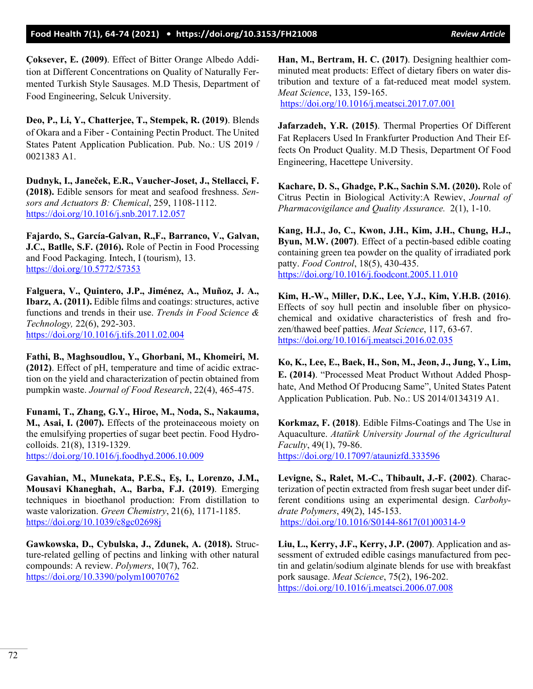**Çoksever, E. (2009)**. Effect of Bitter Orange Albedo Addition at Different Concentrations on Quality of Naturally Fermented Turkish Style Sausages. M.D Thesis, Department of Food Engineering, Selcuk University.

**Deo, P., Li, Y., Chatterjee, T., Stempek, R. (2019)**. Blends of Okara and a Fiber - Containing Pectin Product. The United States Patent Application Publication. Pub. No.: US 2019 / 0021383 A1.

**Dudnyk, I., Janeček, E.R., Vaucher-Joset, J., Stellacci, F. (2018).** Edible sensors for meat and seafood freshness. *Sensors and Actuators B: Chemical*, 259, 1108-1112. <https://doi.org/10.1016/j.snb.2017.12.057>

**Fajardo, S., García-Galvan, R.,F., Barranco, V., Galvan, J.C., Batlle, S.F. (2016).** Role of Pectin in Food Processing and Food Packaging. Intech, I (tourism), 13. <https://doi.org/10.5772/57353>

**Falguera, V., Quintero, J.P., Jiménez, A., Muñoz, J. A., Ibarz, A. (2011).** Edible films and coatings: structures, active functions and trends in their use. *Trends in Food Science & Technology,* 22(6), 292-303. <https://doi.org/10.1016/j.tifs.2011.02.004>

**Fathi, B., Maghsoudlou, Y., Ghorbani, M., Khomeiri, M. (2012)**. Effect of pH, temperature and time of acidic extraction on the yield and characterization of pectin obtained from pumpkin waste. *Journal of Food Research*, 22(4), 465-475.

**Funami, T., Zhang, G.Y., Hiroe, M., Noda, S., Nakauma, M., Asai, I. (2007).** Effects of the proteinaceous moiety on the emulsifying properties of sugar beet pectin. Food Hydrocolloids. 21(8), 1319-1329. <https://doi.org/10.1016/j.foodhyd.2006.10.009>

**Gavahian, M., Munekata, P.E.S., Eş, I., Lorenzo, J.M., Mousavi Khaneghah, A., Barba, F.J. (2019)**. Emerging techniques in bioethanol production: From distillation to waste valorization. *Green Chemistry*, 21(6), 1171-1185. <https://doi.org/10.1039/c8gc02698j>

**Gawkowska, D., Cybulska, J., Zdunek, A. (2018).** Structure-related gelling of pectins and linking with other natural compounds: A review. *Polymers*, 10(7), 762. <https://doi.org/10.3390/polym10070762>

**Han, M., Bertram, H. C. (2017)**. Designing healthier comminuted meat products: Effect of dietary fibers on water distribution and texture of a fat-reduced meat model system. *Meat Science*, 133, 159-165.

http[s://doi.org/10.1016/j.meatsci.2017.07.001](https://doi.org/10.1016/j.meatsci.2017.07.001)

**Jafarzadeh, Y.R. (2015)**. Thermal Properties Of Different Fat Replacers Used In Frankfurter Production And Their Effects On Product Quality. M.D Thesis, Department Of Food Engineering, Hacettepe University.

**Kachare, D. S., Ghadge, P.K., Sachin S.M. (2020).** Role of Citrus Pectin in Biological Activity:A Rewiev, *Journal of Pharmacovigilance and Quality Assurance.* 2(1), 1-10.

**Kang, H.J., Jo, C., Kwon, J.H., Kim, J.H., Chung, H.J., Byun, M.W. (2007)**. Effect of a pectin-based edible coating containing green tea powder on the quality of irradiated pork patty. *Food Control*, 18(5), 430-435. <https://doi.org/10.1016/j.foodcont.2005.11.010>

**Kim, H.-W., Miller, D.K., Lee, Y.J., Kim, Y.H.B. (2016)**. Effects of soy hull pectin and insoluble fiber on physicochemical and oxidative characteristics of fresh and frozen/thawed beef patties. *Meat Science*, 117, 63-67. <https://doi.org/10.1016/j.meatsci.2016.02.035>

**Ko, K., Lee, E., Baek, H., Son, M., Jeon, J., Jung, Y., Lim, E. (2014)**. "Processed Meat Product Wıthout Added Phosphate, And Method Of Producıng Same", United States Patent Application Publication. Pub. No.: US 2014/0134319 A1.

**Korkmaz, F. (2018)**. Edible Films-Coatings and The Use in Aquaculture. *Atatürk University Journal of the Agricultural Faculty*, 49(1), 79-86. <https://doi.org/10.17097/ataunizfd.333596>

**Levigne, S., Ralet, M.-C., Thibault, J.-F. (2002)**. Characterization of pectin extracted from fresh sugar beet under different conditions using an experimental design. *Carbohydrate Polymers*, 49(2), 145-153. [https://doi.org/10.1016/S0144-8617\(01\)00314-9](https://doi.org/10.1016/S0144-8617(01)00314-9)

**Liu, L., Kerry, J.F., Kerry, J.P. (2007)**. Application and assessment of extruded edible casings manufactured from pectin and gelatin/sodium alginate blends for use with breakfast pork sausage. *Meat Science*, 75(2), 196-202. <https://doi.org/10.1016/j.meatsci.2006.07.008>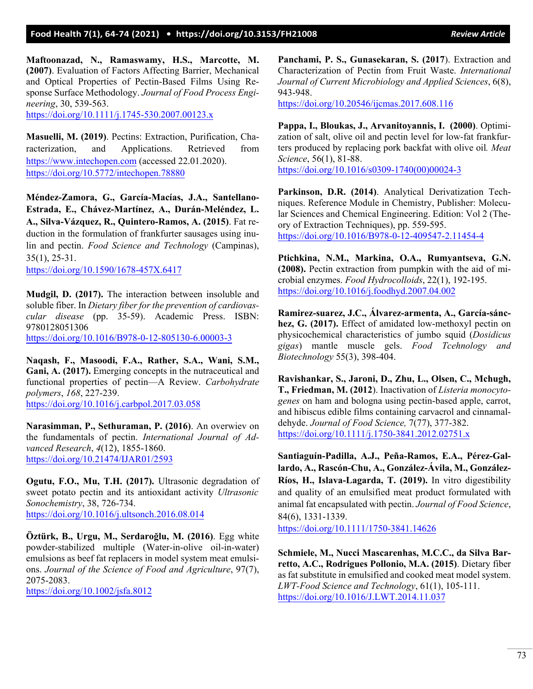**Maftoonazad, N., Ramaswamy, H.S., Marcotte, M. (2007)**. Evaluation of Factors Affecting Barrier, Mechanical and Optical Properties of Pectin-Based Films Using Response Surface Methodology. *Journal of Food Process Engineering*, 30, 539-563.

[https://doi.org/10.1111/j.1745-](https://doi.org/10.1111/j.1745-530.2007.00123.x)530.2007.00123.x

**Masuelli, M. (2019)**. Pectins: Extraction, Purification, Characterization, and Applications. Retrieved from [https://www.intechopen.com](https://www.intechopen.com/) (accessed 22.01.2020). <https://doi.org/10.5772/intechopen.78880>

**Méndez-Zamora, G., García-Macías, J.A., Santellano-Estrada, E., Chávez-Martínez, A., Durán-Meléndez, L. A., Silva-Vázquez, R., Quintero-Ramos, A. (2015)**. Fat reduction in the formulation of frankfurter sausages using inulin and pectin. *Food Science and Technology* (Campinas), 35(1), 25-31.

<https://doi.org/10.1590/1678-457X.6417>

**Mudgil, D. (2017).** The interaction between insoluble and soluble fiber. In *Dietary fiber for the prevention of cardiovascular disease* (pp. 35-59). Academic Press. ISBN: 9780128051306

<https://doi.org/10.1016/B978-0-12-805130-6.00003-3>

**Naqash, F., Masoodi, F.A., Rather, S.A., Wani, S.M., Gani, A. (2017).** Emerging concepts in the nutraceutical and functional properties of pectin—A Review. *Carbohydrate polymers*, *168*, 227-239. <https://doi.org/10.1016/j.carbpol.2017.03.058>

**Narasimman, P., Sethuraman, P. (2016)**. An overwiev on the fundamentals of pectin. *International Journal of Advanced Research*, *4*(12), 1855-1860. <https://doi.org/10.21474/IJAR01/2593>

**Ogutu, F.O., Mu, T.H. (2017).** Ultrasonic degradation of sweet potato pectin and its antioxidant activity *Ultrasonic Sonochemistry*, 38, 726-734. <https://doi.org/10.1016/j.ultsonch.2016.08.014>

**Öztürk, B., Urgu, M., Serdaroğlu, M. (2016)**. Egg white powder-stabilized multiple (Water-in-olive oil-in-water) emulsions as beef fat replacers in model system meat emulsions. *Journal of the Science of Food and Agriculture*, 97(7), 2075-2083.

<https://doi.org/10.1002/jsfa.8012>

**Panchami, P. S., Gunasekaran, S. (2017**). Extraction and Characterization of Pectin from Fruit Waste. *International Journal of Current Microbiology and Applied Sciences*, 6(8), 943-948.

https://doi.o[rg/10.20546/ijcmas.2017.608.116](https://doi.org/10.20546/ijcmas.2017.608.116)

**Pappa, I., Bloukas, J., Arvanitoyannis, I. (2000)**. Optimization of salt, olive oil and pectin level for low-fat frankfurters produced by replacing pork backfat with olive oil*. Meat Science*, 56(1), 81-88.

[https://doi.org/10.1016/s0309-1740\(00\)00024-3](https://doi.org/10.1016/s0309-1740(00)00024-3)

**Parkinson, D.R. (2014)**. Analytical Derivatization Techniques. Reference Module in Chemistry, Publisher: Molecular Sciences and Chemical Engineering. Edition: Vol 2 (Theory of Extraction Techniques), pp. 559-595. <https://doi.org/10.1016/B978-0-12-409547-2.11454-4>

**Ptichkina, N.M., Markina, O.A., Rumyantseva, G.N. (2008).** Pectin extraction from pumpkin with the aid of microbial enzymes. *Food Hydrocolloids*, 22(1), 192-195. <https://doi.org/10.1016/j.foodhyd.2007.04.002>

**Ramirez-suarez, J.C., Álvarez-armenta, A., García-sánchez, G. (2017).** Effect of amidated low-methoxyl pectin on physicochemical characteristics of jumbo squid (*Dosidicus gigas*) mantle muscle gels. *Food Tcehnology and Biotechnology* 55(3), 398-404.

**Ravishankar, S., Jaroni, D., Zhu, L., Olsen, C., Mchugh, T., Friedman, M. (2012**). Inactivation of *Listeria monocytogenes* on ham and bologna using pectin-based apple, carrot, and hibiscus edible films containing carvacrol and cinnamaldehyde. *Journal of Food Science,* 7(77), 377-382. [https://doi.org/10.1111/j.1750-](https://doi.org/10.1111/j.1750-3841.2012.02751.x)3841.2012.02751.x

**Santiaguín‐Padilla, A.J., Peña‐Ramos, E.A., Pérez‐Gallardo, A., Rascón‐Chu, A., González‐Ávila, M., González‐ Ríos, H., Islava‐Lagarda, T. (2019).** In vitro digestibility and quality of an emulsified meat product formulated with animal fat encapsulated with pectin. *Journal of Food Science*, 84(6), 1331-1339.

<https://doi.org/10.1111/1750-3841.14626>

**Schmiele, M., Nucci Mascarenhas, M.C.C., da Silva Barretto, A.C., Rodrigues Pollonio, M.A. (2015)**. Dietary fiber as fat substitute in emulsified and cooked meat model system. *LWT-Food Science and Technology*, 61(1), 105-111. <https://doi.org/10.1016/J.LWT.2014.11.037>